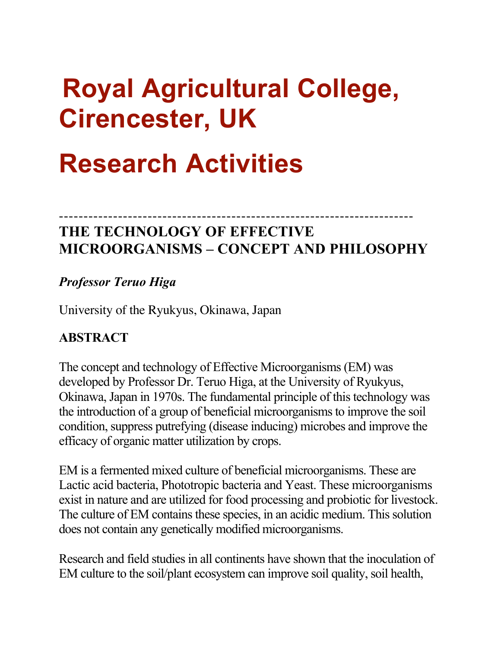# **Royal Agricultural College, Cirencester, UK**

# **Research Activities**

# ------------------------------------------------------------------------ **THE TECHNOLOGY OF EFFECTIVE MICROORGANISMS – CONCEPT AND PHILOSOPHY**

# *Professor Teruo Higa*

University of the Ryukyus, Okinawa, Japan

# **ABSTRACT**

The concept and technology of Effective Microorganisms (EM) was developed by Professor Dr. Teruo Higa, at the University of Ryukyus, Okinawa, Japan in 1970s. The fundamental principle of this technology was the introduction of a group of beneficial microorganisms to improve the soil condition, suppress putrefying (disease inducing) microbes and improve the efficacy of organic matter utilization by crops.

EM is a fermented mixed culture of beneficial microorganisms. These are Lactic acid bacteria, Phototropic bacteria and Yeast. These microorganisms exist in nature and are utilized for food processing and probiotic for livestock. The culture of EM contains these species, in an acidic medium. This solution does not contain any genetically modified microorganisms.

Research and field studies in all continents have shown that the inoculation of EM culture to the soil/plant ecosystem can improve soil quality, soil health,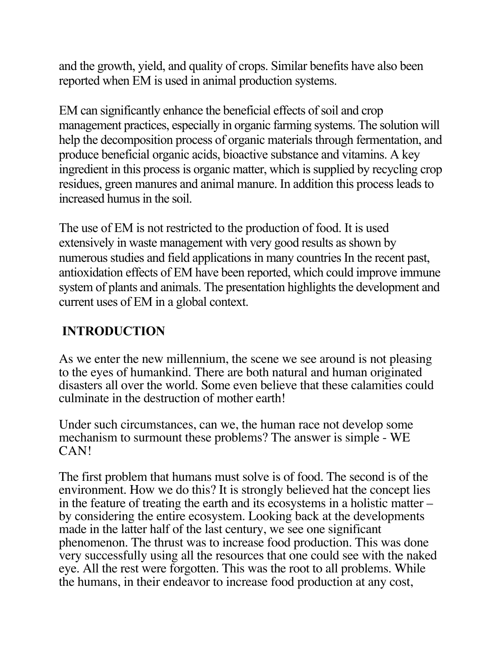and the growth, yield, and quality of crops. Similar benefits have also been reported when EM is used in animal production systems.

EM can significantly enhance the beneficial effects of soil and crop management practices, especially in organic farming systems. The solution will help the decomposition process of organic materials through fermentation, and produce beneficial organic acids, bioactive substance and vitamins. A key ingredient in this process is organic matter, which is supplied by recycling crop residues, green manures and animal manure. In addition this process leads to increased humus in the soil.

The use of EM is not restricted to the production of food. It is used extensively in waste management with very good results as shown by numerous studies and field applications in many countries In the recent past, antioxidation effects of EM have been reported, which could improve immune system of plants and animals. The presentation highlights the development and current uses of EM in a global context.

# **INTRODUCTION**

As we enter the new millennium, the scene we see around is not pleasing to the eyes of humankind. There are both natural and human originated disasters all over the world. Some even believe that these calamities could culminate in the destruction of mother earth!

Under such circumstances, can we, the human race not develop some mechanism to surmount these problems? The answer is simple - WE CAN!

The first problem that humans must solve is of food. The second is of the environment. How we do this? It is strongly believed hat the concept lies in the feature of treating the earth and its ecosystems in a holistic matter – by considering the entire ecosystem. Looking back at the developments made in the latter half of the last century, we see one significant phenomenon. The thrust was to increase food production. This was done very successfully using all the resources that one could see with the naked eye. All the rest were forgotten. This was the root to all problems. While the humans, in their endeavor to increase food production at any cost,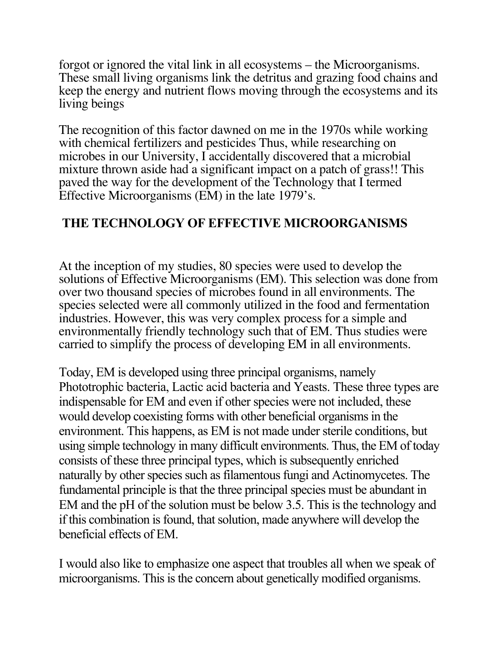forgot or ignored the vital link in all ecosystems – the Microorganisms. These small living organisms link the detritus and grazing food chains and keep the energy and nutrient flows moving through the ecosystems and its living beings

The recognition of this factor dawned on me in the 1970s while working with chemical fertilizers and pesticides Thus, while researching on microbes in our University, I accidentally discovered that a microbial mixture thrown aside had a significant impact on a patch of grass!! This paved the way for the development of the Technology that I termed Effective Microorganisms (EM) in the late 1979's.

### **!THE TECHNOLOGY OF EFFECTIVE MICROORGANISMS**

At the inception of my studies, 80 species were used to develop the solutions of Effective Microorganisms (EM). This selection was done from over two thousand species of microbes found in all environments. The species selected were all commonly utilized in the food and fermentation industries. However, this was very complex process for a simple and environmentally friendly technology such that of EM. Thus studies were carried to simplify the process of developing EM in all environments.

Today, EM is developed using three principal organisms, namely Phototrophic bacteria, Lactic acid bacteria and Yeasts. These three types are indispensable for EM and even if other species were not included, these would develop coexisting forms with other beneficial organisms in the environment. This happens, as EM is not made under sterile conditions, but using simple technology in many difficult environments. Thus, the EM of today consists of these three principal types, which is subsequently enriched naturally by other species such as filamentous fungi and Actinomycetes. The fundamental principle is that the three principal species must be abundant in EM and the pH of the solution must be below 3.5. This is the technology and if this combination is found, that solution, made anywhere will develop the beneficial effects of EM.

I would also like to emphasize one aspect that troubles all when we speak of microorganisms. This is the concern about genetically modified organisms.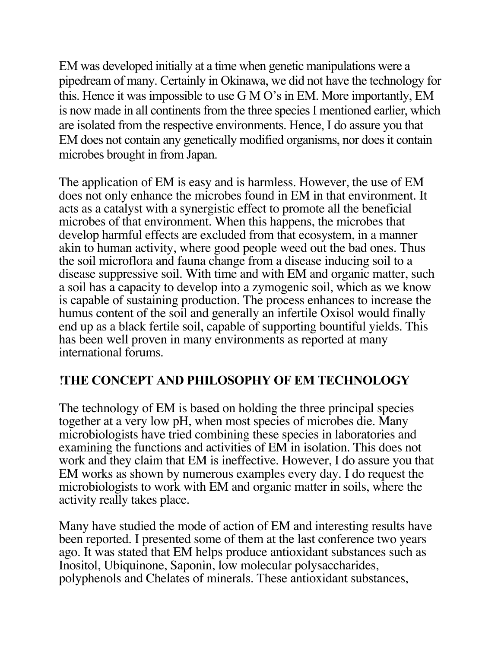EM was developed initially at a time when genetic manipulations were a pipedream of many. Certainly in Okinawa, we did not have the technology for this. Hence it was impossible to use G M O's in EM. More importantly, EM is now made in all continents from the three species I mentioned earlier, which are isolated from the respective environments. Hence, I do assure you that EM does not contain any genetically modified organisms, nor does it contain microbes brought in from Japan.

The application of EM is easy and is harmless. However, the use of EM does not only enhance the microbes found in EM in that environment. It acts as a catalyst with a synergistic effect to promote all the beneficial microbes of that environment. When this happens, the microbes that develop harmful effects are excluded from that ecosystem, in a manner akin to human activity, where good people weed out the bad ones. Thus the soil microflora and fauna change from a disease inducing soil to a disease suppressive soil. With time and with EM and organic matter, such a soil has a capacity to develop into a zymogenic soil, which as we know is capable of sustaining production. The process enhances to increase the humus content of the soil and generally an infertile Oxisol would finally end up as a black fertile soil, capable of supporting bountiful yields. This has been well proven in many environments as reported at many international forums.

### !**THE CONCEPT AND PHILOSOPHY OF EM TECHNOLOGY**

The technology of EM is based on holding the three principal species together at a very low pH, when most species of microbes die. Many microbiologists have tried combining these species in laboratories and examining the functions and activities of EM in isolation. This does not work and they claim that EM is ineffective. However, I do assure you that EM works as shown by numerous examples every day. I do request the microbiologists to work with EM and organic matter in soils, where the activity really takes place.

Many have studied the mode of action of EM and interesting results have been reported. I presented some of them at the last conference two years ago. It was stated that EM helps produce antioxidant substances such as Inositol, Ubiquinone, Saponin, low molecular polysaccharides, polyphenols and Chelates of minerals. These antioxidant substances,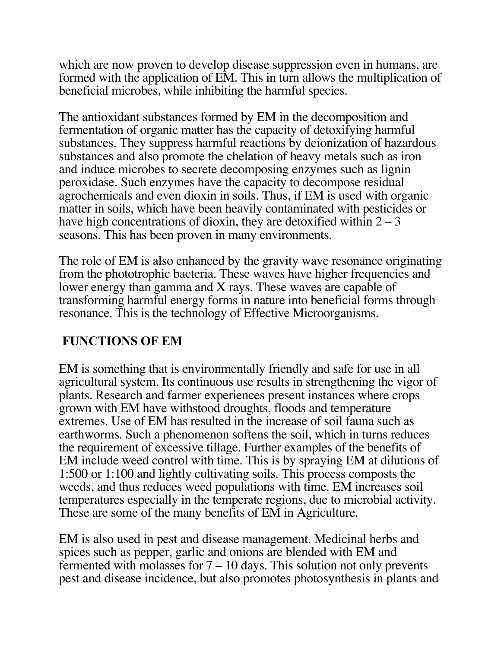which are now proven to develop disease suppression even in humans, are formed with the application of EM. This in turn allows the multiplication of beneficial microbes, while inhibiting the harmful species.

The antioxidant substances formed by EM in the decomposition and fermentation of organic matter has the capacity of detoxifying harmful substances. They suppress harmful reactions by deionization of hazardous substances and also promote the chelation of heavy metals such as iron and induce microbes to secrete decomposing enzymes such as lignin peroxidase. Such enzymes have the capacity to decompose residual agrochemicals and even dioxin in soils. Thus, if EM is used with organic matter in soils, which have been heavily contaminated with pesticides or have high concentrations of dioxin, they are detoxified within  $2 - 3$ seasons. This has been proven in many environments.

The role of EM is also enhanced by the gravity wave resonance originating from the phototrophic bacteria. These waves have higher frequencies and lower energy than gamma and X rays. These waves are capable of transforming harmful energy forms in nature into beneficial forms through resonance. This is the technology of Effective Microorganisms.

### **FUNCTIONS OF EM**

EM is something that is environmentally friendly and safe for use in all agricultural system. Its continuous use results in strengthening the vigor of plants. Research and farmer experiences present instances where crops grown with EM have withstood droughts, floods and temperature extremes. Use of EM has resulted in the increase of soil fauna such as earthworms. Such a phenomenon softens the soil, which in turns reduces the requirement of excessive tillage. Further examples of the benefits of EM include weed control with time. This is by spraying EM at dilutions of 1:500 or 1:100 and lightly cultivating soils. This process composts the weeds, and thus reduces weed populations with time. EM increases soil temperatures especially in the temperate regions, due to microbial activity. These are some of the many benefits of EM in Agriculture.

EM is also used in pest and disease management. Medicinal herbs and spices such as pepper, garlic and onions are blended with EM and fermented with molasses for  $7 - 10$  days. This solution not only prevents pest and disease incidence, but also promotes photosynthesis in plants and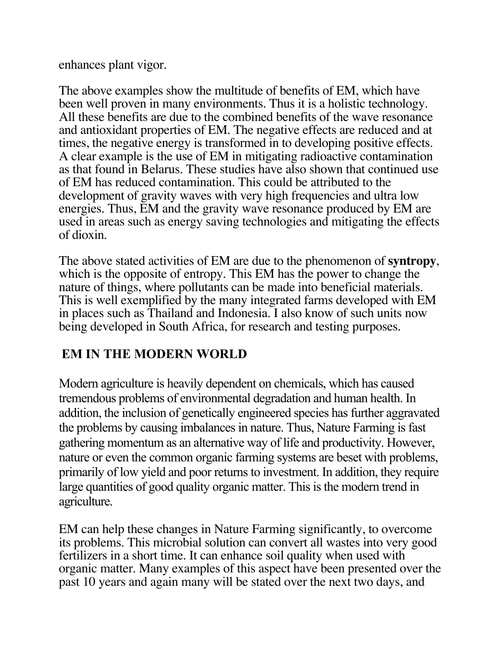enhances plant vigor.

The above examples show the multitude of benefits of EM, which have been well proven in many environments. Thus it is a holistic technology. All these benefits are due to the combined benefits of the wave resonance and antioxidant properties of EM. The negative effects are reduced and at times, the negative energy is transformed in to developing positive effects. A clear example is the use of EM in mitigating radioactive contamination as that found in Belarus. These studies have also shown that continued use of EM has reduced contamination. This could be attributed to the development of gravity waves with very high frequencies and ultra low energies. Thus, EM and the gravity wave resonance produced by EM are used in areas such as energy saving technologies and mitigating the effects of dioxin.

The above stated activities of EM are due to the phenomenon of **syntropy**, which is the opposite of entropy. This EM has the power to change the nature of things, where pollutants can be made into beneficial materials. This is well exemplified by the many integrated farms developed with EM in places such as Thailand and Indonesia. I also know of such units now being developed in South Africa, for research and testing purposes.

# **EM IN THE MODERN WORLD**

Modern agriculture is heavily dependent on chemicals, which has caused tremendous problems of environmental degradation and human health. In addition, the inclusion of genetically engineered species has further aggravated the problems by causing imbalances in nature. Thus, Nature Farming is fast gathering momentum as an alternative way of life and productivity. However, nature or even the common organic farming systems are beset with problems, primarily of low yield and poor returns to investment. In addition, they require large quantities of good quality organic matter. This is the modern trend in agriculture.

EM can help these changes in Nature Farming significantly, to overcome its problems. This microbial solution can convert all wastes into very good fertilizers in a short time. It can enhance soil quality when used with organic matter. Many examples of this aspect have been presented over the past 10 years and again many will be stated over the next two days, and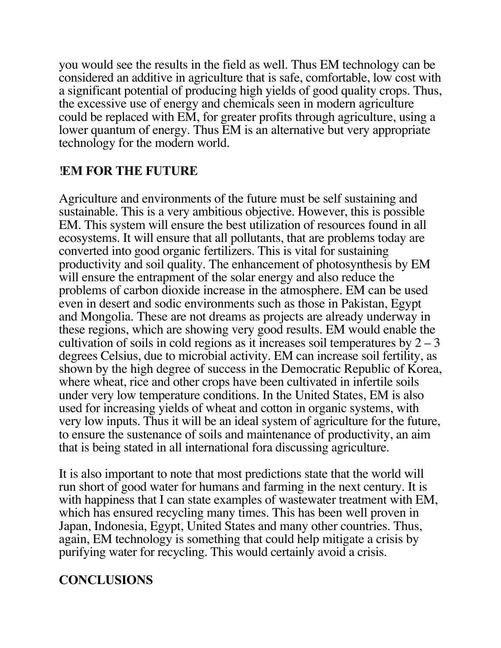you would see the results in the field as well. Thus EM technology can be considered an additive in agriculture that is safe, comfortable, low cost with a significant potential of producing high yields of good quality crops. Thus, the excessive use of energy and chemicals seen in modern agriculture could be replaced with EM, for greater profits through agriculture, using a lower quantum of energy. Thus EM is an alternative but very appropriate technology for the modern world.

#### !**EM FOR THE FUTURE**

Agriculture and environments of the future must be self sustaining and sustainable. This is a very ambitious objective. However, this is possible EM. This system will ensure the best utilization of resources found in all ecosystems. It will ensure that all pollutants, that are problems today are converted into good organic fertilizers. This is vital for sustaining productivity and soil quality. The enhancement of photosynthesis by EM will ensure the entrapment of the solar energy and also reduce the problems of carbon dioxide increase in the atmosphere. EM can be used even in desert and sodic environments such as those in Pakistan, Egypt and Mongolia. These are not dreams as projects are already underway in these regions, which are showing very good results. EM would enable the cultivation of soils in cold regions as it increases soil temperatures by  $2 - 3$ degrees Celsius, due to microbial activity. EM can increase soil fertility, as shown by the high degree of success in the Democratic Republic of Korea, where wheat, rice and other crops have been cultivated in infertile soils under very low temperature conditions. In the United States, EM is also used for increasing yields of wheat and cotton in organic systems, with very low inputs. Thus it will be an ideal system of agriculture for the future, to ensure the sustenance of soils and maintenance of productivity, an aim that is being stated in all international fora discussing agriculture.

It is also important to note that most predictions state that the world will run short of good water for humans and farming in the next century. It is with happiness that I can state examples of wastewater treatment with EM, which has ensured recycling many times. This has been well proven in Japan, Indonesia, Egypt, United States and many other countries. Thus, again, EM technology is something that could help mitigate a crisis by purifying water for recycling. This would certainly avoid a crisis.

### **CONCLUSIONS**